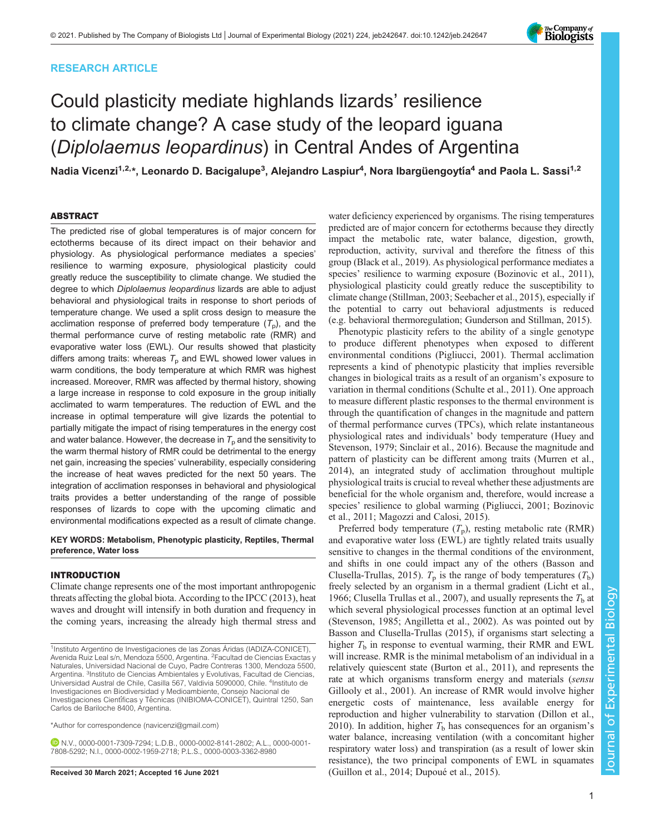# RESEARCH ARTICLE

# Could plasticity mediate highlands lizards' resilience to climate change? A case study of the leopard iguana (Diplolaemus leopardinus) in Central Andes of Argentina

Nadia Vicenzi<sup>1,2,</sup>\*, Leonardo D. Bacigalupe<sup>3</sup>, Alejandro Laspiur<sup>4</sup>, Nora Ibargüengoytía<sup>4</sup> and Paola L. Sassi<sup>1,2</sup>

## ABSTRACT

The predicted rise of global temperatures is of major concern for ectotherms because of its direct impact on their behavior and physiology. As physiological performance mediates a species' resilience to warming exposure, physiological plasticity could greatly reduce the susceptibility to climate change. We studied the degree to which Diplolaemus leopardinus lizards are able to adjust behavioral and physiological traits in response to short periods of temperature change. We used a split cross design to measure the acclimation response of preferred body temperature  $(T<sub>p</sub>)$ , and the thermal performance curve of resting metabolic rate (RMR) and evaporative water loss (EWL). Our results showed that plasticity differs among traits: whereas  $T<sub>p</sub>$  and EWL showed lower values in warm conditions, the body temperature at which RMR was highest increased. Moreover, RMR was affected by thermal history, showing a large increase in response to cold exposure in the group initially acclimated to warm temperatures. The reduction of EWL and the increase in optimal temperature will give lizards the potential to partially mitigate the impact of rising temperatures in the energy cost and water balance. However, the decrease in  $T_{\text{p}}$  and the sensitivity to the warm thermal history of RMR could be detrimental to the energy net gain, increasing the species' vulnerability, especially considering the increase of heat waves predicted for the next 50 years. The integration of acclimation responses in behavioral and physiological traits provides a better understanding of the range of possible responses of lizards to cope with the upcoming climatic and environmental modifications expected as a result of climate change.

KEY WORDS: Metabolism, Phenotypic plasticity, Reptiles, Thermal preference, Water loss

## INTRODUCTION

Climate change represents one of the most important anthropogenic threats affecting the global biota. According to the [IPCC \(2013\),](#page-6-0) heat waves and drought will intensify in both duration and frequency in the coming years, increasing the already high thermal stress and

\*Author for correspondence [\(navicenzi@gmail.com\)](mailto:navicenzi@gmail.com)

N.V., [0000-0001-7309-7294;](http://orcid.org/0000-0001-7309-7294) L.D.B., [0000-0002-8141-2802](http://orcid.org/0000-0002-8141-2802); A.L., [0000-0001-](http://orcid.org/0000-0001-7808-5292) [7808-5292](http://orcid.org/0000-0001-7808-5292); N.I., [0000-0002-1959-2718](http://orcid.org/0000-0002-1959-2718); P.L.S., [0000-0003-3362-8980](http://orcid.org/0000-0003-3362-8980)

water deficiency experienced by organisms. The rising temperatures predicted are of major concern for ectotherms because they directly impact the metabolic rate, water balance, digestion, growth, reproduction, activity, survival and therefore the fitness of this group ([Black et al., 2019](#page-6-0)). As physiological performance mediates a species' resilience to warming exposure [\(Bozinovic et al., 2011\)](#page-6-0), physiological plasticity could greatly reduce the susceptibility to climate change [\(Stillman, 2003](#page-7-0); [Seebacher et al., 2015](#page-7-0)), especially if the potential to carry out behavioral adjustments is reduced (e.g. behavioral thermoregulation; [Gunderson and Stillman, 2015\)](#page-6-0).

Phenotypic plasticity refers to the ability of a single genotype to produce different phenotypes when exposed to different environmental conditions ([Pigliucci, 2001](#page-7-0)). Thermal acclimation represents a kind of phenotypic plasticity that implies reversible changes in biological traits as a result of an organism's exposure to variation in thermal conditions [\(Schulte et al., 2011](#page-7-0)). One approach to measure different plastic responses to the thermal environment is through the quantification of changes in the magnitude and pattern of thermal performance curves (TPCs), which relate instantaneous physiological rates and individuals' body temperature ([Huey and](#page-6-0) [Stevenson, 1979](#page-6-0); [Sinclair et al., 2016\)](#page-7-0). Because the magnitude and pattern of plasticity can be different among traits [\(Murren et al.,](#page-7-0) [2014\)](#page-7-0), an integrated study of acclimation throughout multiple physiological traits is crucial to reveal whether these adjustments are beneficial for the whole organism and, therefore, would increase a species' resilience to global warming [\(Pigliucci, 2001;](#page-7-0) [Bozinovic](#page-6-0) [et al., 2011;](#page-6-0) [Magozzi and Calosi, 2015\)](#page-7-0).

Preferred body temperature  $(T_p)$ , resting metabolic rate (RMR) and evaporative water loss (EWL) are tightly related traits usually sensitive to changes in the thermal conditions of the environment, and shifts in one could impact any of the others [\(Basson and](#page-6-0) [Clusella-Trullas, 2015\)](#page-6-0).  $T_p$  is the range of body temperatures  $(T_b)$ freely selected by an organism in a thermal gradient ([Licht et al.,](#page-6-0) [1966; Clusella Trullas et al., 2007\)](#page-6-0), and usually represents the  $T<sub>b</sub>$  at which several physiological processes function at an optimal level [\(Stevenson, 1985](#page-7-0); [Angilletta et al., 2002](#page-6-0)). As was pointed out by [Basson and Clusella-Trullas \(2015\),](#page-6-0) if organisms start selecting a higher  $T<sub>b</sub>$  in response to eventual warming, their RMR and EWL will increase. RMR is the minimal metabolism of an individual in a relatively quiescent state [\(Burton et al., 2011\)](#page-6-0), and represents the rate at which organisms transform energy and materials (sensu [Gillooly et al., 2001\)](#page-6-0). An increase of RMR would involve higher energetic costs of maintenance, less available energy for reproduction and higher vulnerability to starvation [\(Dillon et al.,](#page-6-0) [2010\)](#page-6-0). In addition, higher  $T<sub>b</sub>$  has consequences for an organism's water balance, increasing ventilation (with a concomitant higher respiratory water loss) and transpiration (as a result of lower skin resistance), the two principal components of EWL in squamates Received 30 March 2021; Accepted 16 June 2021 [\(Guillon et al., 2014](#page-6-0); [Dupoué et al., 2015\)](#page-6-0).



<sup>&</sup>lt;sup>1</sup>Instituto Argentino de Investigaciones de las Zonas Áridas (IADIZA-CONICET), Avenida Ruiz Leal s/n, Mendoza 5500, Argentina. <sup>2</sup>Facultad de Ciencias Exactas y Naturales, Universidad Nacional de Cuyo, Padre Contreras 1300, Mendoza 5500, Argentina. <sup>3</sup>Instituto de Ciencias Ambientales y Evolutivas, Facultad de Ciencias, Universidad Austral de Chile, Casilla 567, Valdivia 5090000, Chile. <sup>4</sup>Instituto de Investigaciones en Biodiversidad y Medioambiente, Consejo Nacional de Investigaciones Científicas y Técnicas (INIBIOMA-CONICET), Quintral 1250, San Carlos de Bariloche 8400, Argentina.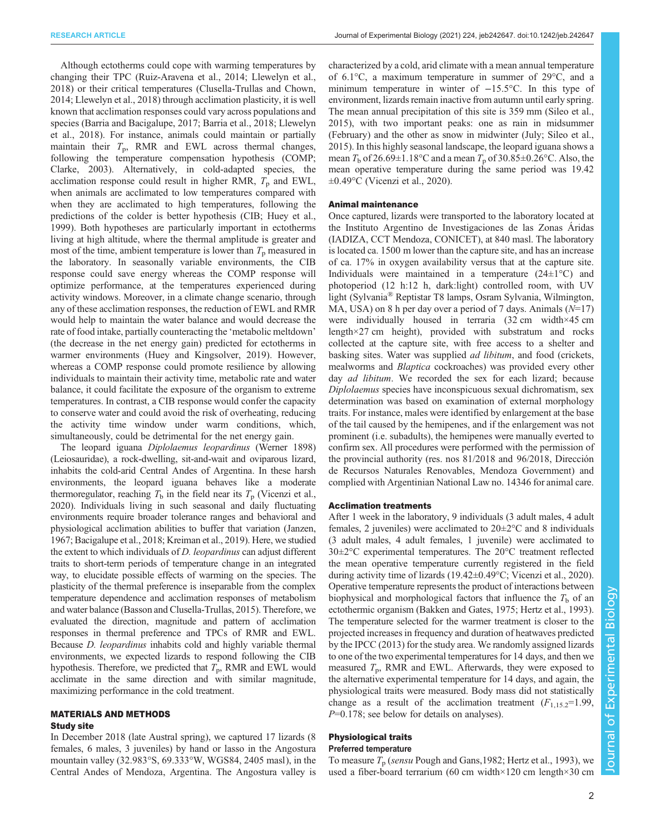Although ectotherms could cope with warming temperatures by changing their TPC ([Ruiz-Aravena et al., 2014; Llewelyn et al.,](#page-7-0) [2018](#page-7-0)) or their critical temperatures [\(Clusella-Trullas and Chown,](#page-6-0) [2014](#page-6-0); [Llewelyn et al., 2018](#page-7-0)) through acclimation plasticity, it is well known that acclimation responses could vary across populations and species [\(Barria and Bacigalupe, 2017; Barria et al., 2018](#page-6-0); [Llewelyn](#page-7-0) [et al., 2018](#page-7-0)). For instance, animals could maintain or partially maintain their  $T_p$ , RMR and EWL across thermal changes, following the temperature compensation hypothesis (COMP; [Clarke, 2003\)](#page-6-0). Alternatively, in cold-adapted species, the acclimation response could result in higher RMR,  $T<sub>p</sub>$  and EWL, when animals are acclimated to low temperatures compared with when they are acclimated to high temperatures, following the predictions of the colder is better hypothesis (CIB; [Huey et al.,](#page-6-0) [1999](#page-6-0)). Both hypotheses are particularly important in ectotherms living at high altitude, where the thermal amplitude is greater and most of the time, ambient temperature is lower than  $T_p$  measured in the laboratory. In seasonally variable environments, the CIB response could save energy whereas the COMP response will optimize performance, at the temperatures experienced during activity windows. Moreover, in a climate change scenario, through any of these acclimation responses, the reduction of EWL and RMR would help to maintain the water balance and would decrease the rate of food intake, partially counteracting the 'metabolic meltdown' (the decrease in the net energy gain) predicted for ectotherms in warmer environments ([Huey and Kingsolver, 2019](#page-6-0)). However, whereas a COMP response could promote resilience by allowing individuals to maintain their activity time, metabolic rate and water balance, it could facilitate the exposure of the organism to extreme temperatures. In contrast, a CIB response would confer the capacity to conserve water and could avoid the risk of overheating, reducing the activity time window under warm conditions, which, simultaneously, could be detrimental for the net energy gain.

The leopard iguana Diplolaemus leopardinus (Werner 1898) (Leiosauridae), a rock-dwelling, sit-and-wait and oviparous lizard, inhabits the cold-arid Central Andes of Argentina. In these harsh environments, the leopard iguana behaves like a moderate thermoregulator, reaching  $T<sub>b</sub>$  in the field near its  $T<sub>p</sub>$  ([Vicenzi et al.,](#page-7-0) [2020\)](#page-7-0). Individuals living in such seasonal and daily fluctuating environments require broader tolerance ranges and behavioral and physiological acclimation abilities to buffer that variation ([Janzen,](#page-6-0) [1967; Bacigalupe et al., 2018](#page-6-0); [Kreiman et al., 2019](#page-6-0)). Here, we studied the extent to which individuals of D. leopardinus can adjust different traits to short-term periods of temperature change in an integrated way, to elucidate possible effects of warming on the species. The plasticity of the thermal preference is inseparable from the complex temperature dependence and acclimation responses of metabolism and water balance ([Basson and Clusella-Trullas, 2015\)](#page-6-0). Therefore, we evaluated the direction, magnitude and pattern of acclimation responses in thermal preference and TPCs of RMR and EWL. Because D. leopardinus inhabits cold and highly variable thermal environments, we expected lizards to respond following the CIB hypothesis. Therefore, we predicted that  $T_p$ , RMR and EWL would acclimate in the same direction and with similar magnitude, maximizing performance in the cold treatment.

# MATERIALS AND METHODS Study site

In December 2018 (late Austral spring), we captured 17 lizards (8 females, 6 males, 3 juveniles) by hand or lasso in the Angostura mountain valley (32.983°S, 69.333°W, WGS84, 2405 masl), in the Central Andes of Mendoza, Argentina. The Angostura valley is characterized by a cold, arid climate with a mean annual temperature of 6.1°C, a maximum temperature in summer of 29°C, and a minimum temperature in winter of −15.5°C. In this type of environment, lizards remain inactive from autumn until early spring. The mean annual precipitation of this site is 359 mm ([Sileo et al.,](#page-7-0) [2015\)](#page-7-0), with two important peaks: one as rain in midsummer (February) and the other as snow in midwinter (July; [Sileo et al.,](#page-7-0) [2015\)](#page-7-0). In this highly seasonal landscape, the leopard iguana shows a mean  $T<sub>b</sub>$  of 26.69±1.18°C and a mean  $T<sub>p</sub>$  of 30.85±0.26°C. Also, the mean operative temperature during the same period was 19.42  $\pm 0.49$ °C ([Vicenzi et al., 2020](#page-7-0)).

## Animal maintenance

Once captured, lizards were transported to the laboratory located at the Instituto Argentino de Investigaciones de las Zonas Áridas (IADIZA, CCT Mendoza, CONICET), at 840 masl. The laboratory is located ca. 1500 m lower than the capture site, and has an increase of ca. 17% in oxygen availability versus that at the capture site. Individuals were maintained in a temperature  $(24\pm1\degree C)$  and photoperiod (12 h:12 h, dark:light) controlled room, with UV light (Sylvania® Reptistar T8 lamps, Osram Sylvania, Wilmington, MA, USA) on 8 h per day over a period of 7 days. Animals  $(N=17)$ were individually housed in terraria (32 cm width×45 cm length×27 cm height), provided with substratum and rocks collected at the capture site, with free access to a shelter and basking sites. Water was supplied *ad libitum*, and food (crickets, mealworms and Blaptica cockroaches) was provided every other day *ad libitum*. We recorded the sex for each lizard; because Diplolaemus species have inconspicuous sexual dichromatism, sex determination was based on examination of external morphology traits. For instance, males were identified by enlargement at the base of the tail caused by the hemipenes, and if the enlargement was not prominent (i.e. subadults), the hemipenes were manually everted to confirm sex. All procedures were performed with the permission of the provincial authority (res. nos 81/2018 and 96/2018, Dirección de Recursos Naturales Renovables, Mendoza Government) and complied with Argentinian National Law no. 14346 for animal care.

## Acclimation treatments

After 1 week in the laboratory, 9 individuals (3 adult males, 4 adult females, 2 juveniles) were acclimated to  $20 \pm 2^{\circ}$ C and 8 individuals (3 adult males, 4 adult females, 1 juvenile) were acclimated to 30±2°C experimental temperatures. The 20°C treatment reflected the mean operative temperature currently registered in the field during activity time of lizards (19.42±0.49°C; [Vicenzi et al., 2020\)](#page-7-0). Operative temperature represents the product of interactions between biophysical and morphological factors that influence the  $T<sub>b</sub>$  of an ectothermic organism [\(Bakken and Gates, 1975](#page-6-0); [Hertz et al., 1993\)](#page-6-0). The temperature selected for the warmer treatment is closer to the projected increases in frequency and duration of heatwaves predicted by the [IPCC \(2013\)](#page-6-0) for the study area. We randomly assigned lizards to one of the two experimental temperatures for 14 days, and then we measured  $T_p$ , RMR and EWL. Afterwards, they were exposed to the alternative experimental temperature for 14 days, and again, the physiological traits were measured. Body mass did not statistically change as a result of the acclimation treatment  $(F_{1,15,2}=1.99)$ ,  $P=0.178$ ; see below for details on analyses).

### Physiological traits Preferred temperature

To measure  $T_p$  (sensu Pough and Gans, 1982; [Hertz et al., 1993\)](#page-6-0), we used a fiber-board terrarium (60 cm width×120 cm length×30 cm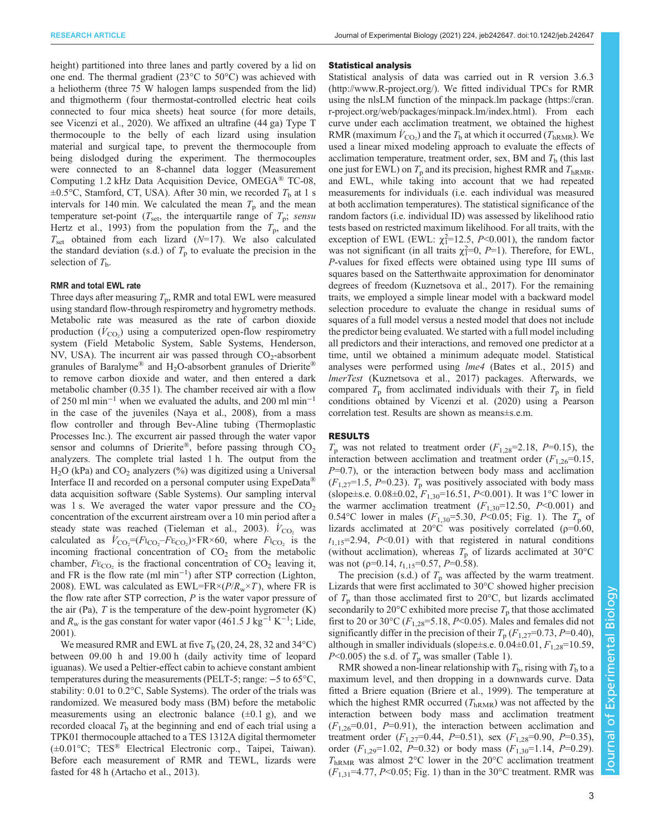height) partitioned into three lanes and partly covered by a lid on one end. The thermal gradient (23°C to 50°C) was achieved with a heliotherm (three 75 W halogen lamps suspended from the lid) and thigmotherm (four thermostat-controlled electric heat coils connected to four mica sheets) heat source (for more details, see [Vicenzi et al., 2020\)](#page-7-0). We affixed an ultrafine (44 ga) Type T thermocouple to the belly of each lizard using insulation material and surgical tape, to prevent the thermocouple from being dislodged during the experiment. The thermocouples were connected to an 8-channel data logger (Measurement Computing 1.2 kHz Data Acquisition Device, OMEGA® TC-08,  $\pm 0.5$ °C, Stamford, CT, USA). After 30 min, we recorded  $T<sub>b</sub>$  at 1 s intervals for 140 min. We calculated the mean  $T<sub>p</sub>$  and the mean temperature set-point ( $T_{\text{set}}$ , the interquartile range of  $T_p$ ; sensu [Hertz et al., 1993](#page-6-0)) from the population from the  $T_p$ , and the  $T_{\text{set}}$  obtained from each lizard ( $N=17$ ). We also calculated the standard deviation (s.d.) of  $T_p$  to evaluate the precision in the selection of  $T<sub>b</sub>$ .

#### RMR and total EWL rate

Three days after measuring  $T_p$ , RMR and total EWL were measured using standard flow-through respirometry and hygrometry methods. Metabolic rate was measured as the rate of carbon dioxide production  $(\dot{V}_{\text{CO}_2})$  using a computerized open-flow respirometry system (Field Metabolic System, Sable Systems, Henderson, NV, USA). The incurrent air was passed through  $CO_2$ -absorbent granules of Baralyme<sup>®</sup> and H<sub>2</sub>O-absorbent granules of Drierite<sup>®</sup> to remove carbon dioxide and water, and then entered a dark metabolic chamber (0.35 l). The chamber received air with a flow of 250 ml min−<sup>1</sup> when we evaluated the adults, and 200 ml min−<sup>1</sup> in the case of the juveniles ([Naya et al., 2008](#page-7-0)), from a mass flow controller and through Bev-Aline tubing (Thermoplastic Processes Inc.). The excurrent air passed through the water vapor sensor and columns of Drierite®, before passing through  $CO<sub>2</sub>$ analyzers. The complete trial lasted 1 h. The output from the  $H<sub>2</sub>O$  (kPa) and  $CO<sub>2</sub>$  analyzers (%) was digitized using a Universal Interface II and recorded on a personal computer using ExpeData<sup>®</sup> data acquisition software (Sable Systems). Our sampling interval was 1 s. We averaged the water vapor pressure and the  $CO<sub>2</sub>$ concentration of the excurrent airstream over a 10 min period after a steady state was reached ([Tieleman et al., 2003](#page-7-0)).  $\dot{V}_{\text{CO}_2}$  was calculated as  $V_{\text{CO}_2} = (F_{\text{ICO}_2} - F_{\text{ECO}_2}) \times \text{FR} \times 60$ , where  $F_{\text{ICO}_2}$  is the incoming fractional concentration of  $CO<sub>2</sub>$  from the metabolic chamber,  $F_{\text{E}_{\text{CO}_2}}$  is the fractional concentration of  $\text{CO}_2$  leaving it, and FR is the flow rate (ml min−<sup>1</sup> ) after STP correction ([Lighton,](#page-6-0) [2008](#page-6-0)). EWL was calculated as  $EWL = FR \times (P/R_w \times T)$ , where FR is the flow rate after STP correction,  $P$  is the water vapor pressure of the air (Pa),  $T$  is the temperature of the dew-point hygrometer  $(K)$ and  $R_w$  is the gas constant for water vapor (461.5 J kg<sup>-1</sup> K<sup>-1</sup>; [Lide,](#page-6-0) [2001](#page-6-0)).

We measured RMR and EWL at five  $T<sub>b</sub>$  (20, 24, 28, 32 and 34 $\degree$ C) between 09.00 h and 19.00 h (daily activity time of leopard iguanas). We used a Peltier-effect cabin to achieve constant ambient temperatures during the measurements (PELT-5; range: −5 to 65°C, stability: 0.01 to 0.2°C, Sable Systems). The order of the trials was randomized. We measured body mass (BM) before the metabolic measurements using an electronic balance  $(\pm 0.1 \text{ g})$ , and we recorded cloacal  $T<sub>b</sub>$  at the beginning and end of each trial using a TPK01 thermocouple attached to a TES 1312A digital thermometer (±0.01°C; TES® Electrical Electronic corp., Taipei, Taiwan). Before each measurement of RMR and TEWL, lizards were fasted for 48 h ([Artacho et al., 2013](#page-6-0)).

#### Statistical analysis

Statistical analysis of data was carried out in R version 3.6.3 [\(http://www.R-project.org/](http://www.R-project.org/)). We fitted individual TPCs for RMR using the nlsLM function of the minpack.lm package ([https://cran.](https://cran.r-project.org/web/packages/minpack.lm/index.html) [r-project.org/web/packages/minpack.lm/index.html](https://cran.r-project.org/web/packages/minpack.lm/index.html)). From each curve under each acclimation treatment, we obtained the highest RMR (maximum  $\dot{V}_{\text{CO}_2}$ ) and the  $T_{\text{b}}$  at which it occurred ( $T_{\text{hRMR}}$ ). We used a linear mixed modeling approach to evaluate the effects of acclimation temperature, treatment order, sex, BM and  $T<sub>b</sub>$  (this last one just for EWL) on  $T_p$  and its precision, highest RMR and  $T_{hRMR}$ , and EWL, while taking into account that we had repeated measurements for individuals (i.e. each individual was measured at both acclimation temperatures). The statistical significance of the random factors (i.e. individual ID) was assessed by likelihood ratio tests based on restricted maximum likelihood. For all traits, with the exception of EWL (EWL:  $\chi_1^2$ =12.5, P<0.001), the random factor was not significant (in all traits  $\chi_1^2=0$ ,  $P=1$ ). Therefore, for EWL, P-values for fixed effects were obtained using type III sums of squares based on the Satterthwaite approximation for denominator degrees of freedom [\(Kuznetsova et al., 2017\)](#page-6-0). For the remaining traits, we employed a simple linear model with a backward model selection procedure to evaluate the change in residual sums of squares of a full model versus a nested model that does not include the predictor being evaluated. We started with a full model including all predictors and their interactions, and removed one predictor at a time, until we obtained a minimum adequate model. Statistical analyses were performed using lme4 ([Bates et al., 2015](#page-6-0)) and lmerTest [\(Kuznetsova et al., 2017](#page-6-0)) packages. Afterwards, we compared  $T_p$  from acclimated individuals with their  $T_p$  in field conditions obtained by [Vicenzi et al. \(2020\)](#page-7-0) using a Pearson correlation test. Results are shown as means±s.e.m.

### RESULTS

 $T_p$  was not related to treatment order  $(F_{1,28}=2.18, P=0.15)$ , the interaction between acclimation and treatment order  $(F_{1,26}=0.15,$  $P=0.7$ ), or the interaction between body mass and acclimation  $(F_{1,27}=1.5, P=0.23)$ .  $T_p$  was positively associated with body mass (slope±s.e. 0.08±0.02,  $F_{1,30}$ =16.51, P<0.001). It was 1°C lower in the warmer acclimation treatment  $(F_{1,30}=12.50, P<0.001)$  and 0.54°C lower in males ( $F_{1,30}$ =5.30, P<0.05; [Fig. 1](#page-3-0)). The  $T_p$  of lizards acclimated at 20 $^{\circ}$ C was positively correlated ( $\rho$ =0.60,  $t_{1,15}=2.94$ ,  $P<0.01$ ) with that registered in natural conditions (without acclimation), whereas  $T_p$  of lizards acclimated at 30°C was not ( $p=0.14$ ,  $t_{1,15}=0.57$ ,  $P=0.58$ ).

The precision (s.d.) of  $T_p$  was affected by the warm treatment. Lizards that were first acclimated to 30°C showed higher precision of  $T_p$  than those acclimated first to 20 $\degree$ C, but lizards acclimated secondarily to 20 $\degree$ C exhibited more precise  $T_p$  that those acclimated first to 20 or 30°C ( $F_{1,28}$ =5.18, P<0.05). Males and females did not significantly differ in the precision of their  $T_p$  ( $F_{1,27}=0.73$ ,  $P=0.40$ ), although in smaller individuals (slope $\pm$ s.e. 0.04 $\pm$ 0.01,  $F_{1,28}$ =10.59,  $P<0.005$ ) the s.d. of  $T<sub>p</sub>$  was smaller ([Table 1](#page-3-0)).

RMR showed a non-linear relationship with  $T<sub>b</sub>$ , rising with  $T<sub>b</sub>$  to a maximum level, and then dropping in a downwards curve. Data fitted a Briere equation ([Briere et al., 1999\)](#page-6-0). The temperature at which the highest RMR occurred  $(T_{hRMR})$  was not affected by the interaction between body mass and acclimation treatment  $(F_{1,26}=0.01, P=0.91)$ , the interaction between acclimation and treatment order  $(F_{1,27}=0.44, P=0.51)$ , sex  $(F_{1,28}=0.90, P=0.35)$ , order  $(F_{1,29}=1.02, P=0.32)$  or body mass  $(F_{1,30}=1.14, P=0.29)$ .  $T_{\text{hRMR}}$  was almost 2°C lower in the 20°C acclimation treatment  $(F_{1,31}$ =4.77, P<0.05; [Fig. 1](#page-3-0)) than in the 30°C treatment. RMR was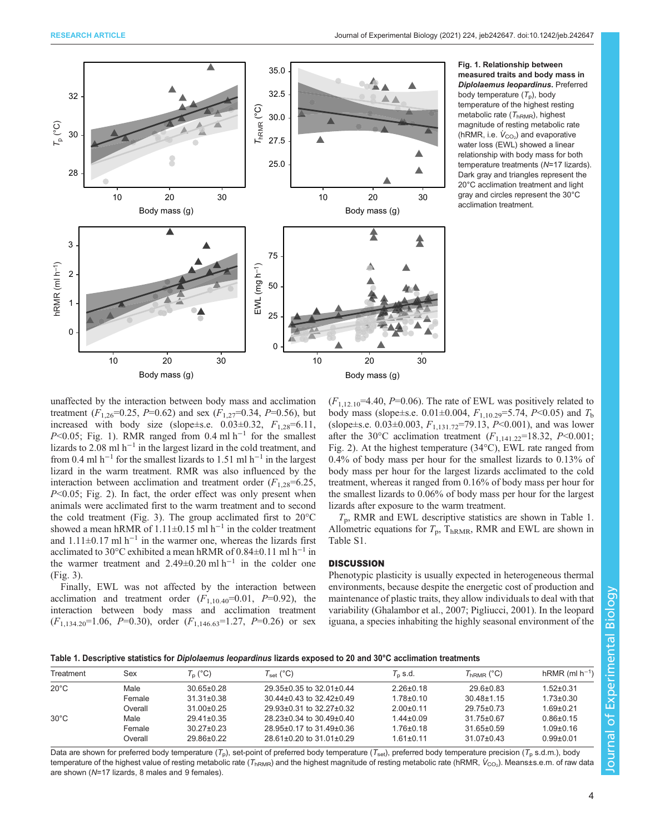<span id="page-3-0"></span>

Fig. 1. Relationship between measured traits and body mass in Diplolaemus leopardinus. Preferred body temperature  $(T_p)$ , body temperature of the highest resting metabolic rate  $(T_{hRMR})$ , highest magnitude of resting metabolic rate (hRMR, i.e.  $\dot{V}_{\rm CO_2}$ ) and evaporative water loss (EWL) showed a linear relationship with body mass for both temperature treatments (N=17 lizards). Dark gray and triangles represent the 20°C acclimation treatment and light gray and circles represent the 30°C acclimation treatment.

unaffected by the interaction between body mass and acclimation treatment  $(F_{1,26}=0.25, P=0.62)$  and sex  $(F_{1,27}=0.34, P=0.56)$ , but increased with body size (slope $\pm$ s.e. 0.03 $\pm$ 0.32,  $F_{1,28}$ =6.11, P<0.05; Fig. 1). RMR ranged from 0.4 ml h<sup>-1</sup> for the smallest lizards to 2.08 ml h<sup>-1</sup> in the largest lizard in the cold treatment, and from 0.4 ml h<sup>-1</sup> for the smallest lizards to 1.51 ml h<sup>-1</sup> in the largest lizard in the warm treatment. RMR was also influenced by the interaction between acclimation and treatment order  $(F_{1,28}=6.25,$  $P<0.05$ ; [Fig. 2\)](#page-4-0). In fact, the order effect was only present when animals were acclimated first to the warm treatment and to second the cold treatment ([Fig. 3\)](#page-4-0). The group acclimated first to 20°C showed a mean hRMR of 1.11±0.15 ml  $h^{-1}$  in the colder treatment and  $1.11\pm0.17$  ml h<sup>-1</sup> in the warmer one, whereas the lizards first acclimated to 30°C exhibited a mean hRMR of 0.84±0.11 ml h−<sup>1</sup> in the warmer treatment and 2.49±0.20 ml h<sup>-1</sup> in the colder one [\(Fig. 3](#page-4-0)).

Finally, EWL was not affected by the interaction between acclimation and treatment order  $(F_{1,10,40} = 0.01, P = 0.92)$ , the interaction between body mass and acclimation treatment  $(F_{1,134.20}=1.06, P=0.30)$ , order  $(F_{1,146.63}=1.27, P=0.26)$  or sex  $(F_{1,12,10}$ =4.40, P=0.06). The rate of EWL was positively related to body mass (slope±s.e. 0.01±0.004,  $F_{1,10,29}$ =5.74, P<0.05) and  $T<sub>b</sub>$ (slope±s.e. 0.03±0.003,  $F_{1,131.72}$ =79.13,  $P$  < 0.001), and was lower after the 30°C acclimation treatment  $(F_{1,141.22}$ =18.32, P<0.001; [Fig. 2\)](#page-4-0). At the highest temperature (34°C), EWL rate ranged from 0.4% of body mass per hour for the smallest lizards to 0.13% of body mass per hour for the largest lizards acclimated to the cold treatment, whereas it ranged from 0.16% of body mass per hour for the smallest lizards to 0.06% of body mass per hour for the largest lizards after exposure to the warm treatment.

 $T_p$ , RMR and EWL descriptive statistics are shown in Table 1. Allometric equations for  $T_p$ , T<sub>hRMR</sub>, RMR and EWL are shown in [Table S1.](https://journals.biologists.com/jeb/article-lookup/DOI/10.1242/jeb.242647)

# **DISCUSSION**

Phenotypic plasticity is usually expected in heterogeneous thermal environments, because despite the energetic cost of production and maintenance of plastic traits, they allow individuals to deal with that variability ([Ghalambor et al., 2007](#page-6-0); [Pigliucci, 2001](#page-7-0)). In the leopard iguana, a species inhabiting the highly seasonal environment of the

Table 1. Descriptive statistics for Diplolaemus leopardinus lizards exposed to 20 and 30°C acclimation treatments

| Treatment      | Sex     | $T_{p}$ (°C)     | $T_{\rm set}$ (°C)       | $T_{\rm n}$ s.d. | $T_{hRMR}$ (°C)  | $hRMR$ (ml $h^{-1}$ ) |
|----------------|---------|------------------|--------------------------|------------------|------------------|-----------------------|
| $20^{\circ}$ C | Male    | $30.65 \pm 0.28$ | 29.35±0.35 to 32.01±0.44 | $2.26 \pm 0.18$  | $29.6 \pm 0.83$  | $1.52 \pm 0.31$       |
|                | Female  | $31.31 \pm 0.38$ | 30.44±0.43 to 32.42±0.49 | $178 + 010$      | $30.48 \pm 1.15$ | $1.73 \pm 0.30$       |
|                | Overall | $31.00 \pm 0.25$ | 29.93±0.31 to 32.27±0.32 | $2.00 \pm 0.11$  | $29.75 \pm 0.73$ | $1.69 + 0.21$         |
| $30^{\circ}$ C | Male    | $29.41 \pm 0.35$ | 28.23±0.34 to 30.49±0.40 | $1.44 \pm 0.09$  | 31.75±0.67       | $0.86 \pm 0.15$       |
|                | Female  | $3027+023$       | 28.95±0.17 to 31.49±0.36 | $176 + 018$      | $31.65 \pm 0.59$ | $1.09 + 0.16$         |
|                | Overall | 29.86±0.22       | 28.61±0.20 to 31.01±0.29 | $1.61 \pm 0.11$  | $31.07 \pm 0.43$ | $0.99 + 0.01$         |

Data are shown for preferred body temperature ( $T_p$ ), set-point of preferred body temperature ( $T_{\text{set}}$ ), preferred body temperature precision ( $T_p$  s.d.m.), body temperature of the highest value of resting metabolic rate (T<sub>hRMR</sub>) and the highest magnitude of resting metabolic rate (hRMR,  $\dot{V}_{\rm CO_2}$ ). Means±s.e.m. of raw data are shown (N=17 lizards, 8 males and 9 females).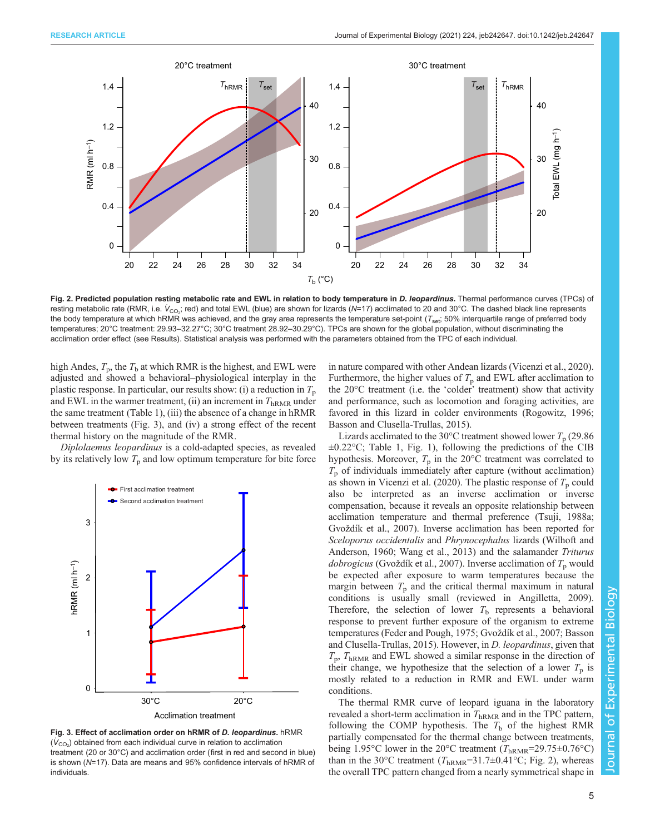<span id="page-4-0"></span>

Fig. 2. Predicted population resting metabolic rate and EWL in relation to body temperature in D. leopardinus. Thermal performance curves (TPCs) of resting metabolic rate (RMR, i.e.  $\dot{V}_{\rm CO_2}$ ; red) and total EWL (blue) are shown for lizards (N=17) acclimated to 20 and 30°C. The dashed black line represents the body temperature at which hRMR was achieved, and the gray area represents the temperature set-point  $(T_{\text{set}}; 50\%$  interquartile range of preferred body temperatures; 20°C treatment: 29.93–32.27°C; 30°C treatment 28.92–30.29°C). TPCs are shown for the global population, without discriminating the acclimation order effect (see Results). Statistical analysis was performed with the parameters obtained from the TPC of each individual.

high Andes,  $T_p$ , the  $T_b$  at which RMR is the highest, and EWL were adjusted and showed a behavioral–physiological interplay in the plastic response. In particular, our results show: (i) a reduction in  $T_p$ and EWL in the warmer treatment, (ii) an increment in  $T_{hRMR}$  under the same treatment [\(Table 1](#page-3-0)), (iii) the absence of a change in hRMR between treatments (Fig. 3), and (iv) a strong effect of the recent thermal history on the magnitude of the RMR.

Diplolaemus leopardinus is a cold-adapted species, as revealed by its relatively low  $T_p$  and low optimum temperature for bite force





in nature compared with other Andean lizards [\(Vicenzi et al., 2020\)](#page-7-0). Furthermore, the higher values of  $T_p$  and EWL after acclimation to the 20°C treatment (i.e. the 'colder' treatment) show that activity and performance, such as locomotion and foraging activities, are favored in this lizard in colder environments [\(Rogowitz, 1996](#page-7-0); [Basson and Clusella-Trullas, 2015\)](#page-6-0).

Lizards acclimated to the 30 $^{\circ}$ C treatment showed lower  $T_{p}$  (29.86)  $\pm 0.22$ °C; [Table 1](#page-3-0), [Fig. 1](#page-3-0)), following the predictions of the CIB hypothesis. Moreover,  $T_p$  in the 20 $\degree$ C treatment was correlated to  $T_p$  of individuals immediately after capture (without acclimation) as shown in [Vicenzi et al. \(2020\)](#page-7-0). The plastic response of  $T_p$  could also be interpreted as an inverse acclimation or inverse compensation, because it reveals an opposite relationship between acclimation temperature and thermal preference [\(Tsuji, 1988a](#page-7-0); Gvož[dík et al., 2007\)](#page-6-0). Inverse acclimation has been reported for Sceloporus occidentalis and Phrynocephalus lizards [\(Wilhoft and](#page-7-0) [Anderson, 1960](#page-7-0); [Wang et al., 2013\)](#page-7-0) and the salamander Triturus *dobrogicus* (Gvož[dík et al., 2007\)](#page-6-0). Inverse acclimation of  $T_p$  would be expected after exposure to warm temperatures because the margin between  $T_p$  and the critical thermal maximum in natural conditions is usually small (reviewed in [Angilletta, 2009\)](#page-6-0). Therefore, the selection of lower  $T<sub>b</sub>$  represents a behavioral response to prevent further exposure of the organism to extreme temperatures [\(Feder and Pough, 1975;](#page-6-0) Gvož[dík et al., 2007; Basson](#page-6-0) [and Clusella-Trullas, 2015](#page-6-0)). However, in D. leopardinus, given that  $T_p$ ,  $T_{hRMR}$  and EWL showed a similar response in the direction of their change, we hypothesize that the selection of a lower  $T_p$  is mostly related to a reduction in RMR and EWL under warm conditions.

The thermal RMR curve of leopard iguana in the laboratory revealed a short-term acclimation in  $T_{\text{hRMR}}$  and in the TPC pattern, following the COMP hypothesis. The  $T<sub>b</sub>$  of the highest RMR partially compensated for the thermal change between treatments, being 1.95°C lower in the 20°C treatment ( $T_{hRMR}$ =29.75±0.76°C) than in the 30°C treatment ( $T_{hRMR}=31.7\pm0.41$ °C; Fig. 2), whereas the overall TPC pattern changed from a nearly symmetrical shape in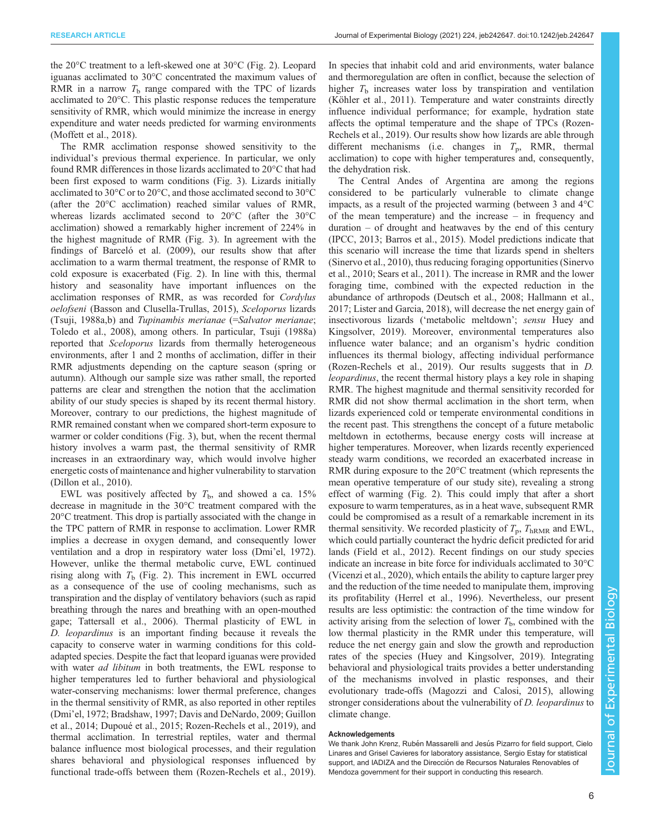the 20°C treatment to a left-skewed one at 30°C ([Fig. 2](#page-4-0)). Leopard iguanas acclimated to 30°C concentrated the maximum values of RMR in a narrow  $T<sub>b</sub>$  range compared with the TPC of lizards acclimated to 20°C. This plastic response reduces the temperature sensitivity of RMR, which would minimize the increase in energy expenditure and water needs predicted for warming environments [\(Moffett et al., 2018\)](#page-7-0).

The RMR acclimation response showed sensitivity to the individual's previous thermal experience. In particular, we only found RMR differences in those lizards acclimated to 20°C that had been first exposed to warm conditions ([Fig. 3](#page-4-0)). Lizards initially acclimated to 30°C or to 20°C, and those acclimated second to 30°C (after the 20°C acclimation) reached similar values of RMR, whereas lizards acclimated second to 20°C (after the 30°C acclimation) showed a remarkably higher increment of 224% in the highest magnitude of RMR [\(Fig. 3\)](#page-4-0). In agreement with the findings of [Barceló et al. \(2009\),](#page-6-0) our results show that after acclimation to a warm thermal treatment, the response of RMR to cold exposure is exacerbated ([Fig. 2](#page-4-0)). In line with this, thermal history and seasonality have important influences on the acclimation responses of RMR, as was recorded for Cordylus oelofseni ([Basson and Clusella-Trullas, 2015](#page-6-0)), Sceloporus lizards [\(Tsuji, 1988a,b\)](#page-7-0) and Tupinambis merianae (=Salvator merianae; [Toledo et al., 2008\)](#page-7-0), among others. In particular, [Tsuji \(1988a\)](#page-7-0) reported that *Sceloporus* lizards from thermally heterogeneous environments, after 1 and 2 months of acclimation, differ in their RMR adjustments depending on the capture season (spring or autumn). Although our sample size was rather small, the reported patterns are clear and strengthen the notion that the acclimation ability of our study species is shaped by its recent thermal history. Moreover, contrary to our predictions, the highest magnitude of RMR remained constant when we compared short-term exposure to warmer or colder conditions ([Fig. 3\)](#page-4-0), but, when the recent thermal history involves a warm past, the thermal sensitivity of RMR increases in an extraordinary way, which would involve higher energetic costs of maintenance and higher vulnerability to starvation [\(Dillon et al., 2010](#page-6-0)).

EWL was positively affected by  $T<sub>b</sub>$ , and showed a ca. 15% decrease in magnitude in the 30°C treatment compared with the 20°C treatment. This drop is partially associated with the change in the TPC pattern of RMR in response to acclimation. Lower RMR implies a decrease in oxygen demand, and consequently lower ventilation and a drop in respiratory water loss (Dmi'[el, 1972\)](#page-6-0). However, unlike the thermal metabolic curve, EWL continued rising along with  $T<sub>b</sub>$  ([Fig. 2](#page-4-0)). This increment in EWL occurred as a consequence of the use of cooling mechanisms, such as transpiration and the display of ventilatory behaviors (such as rapid breathing through the nares and breathing with an open-mouthed gape; [Tattersall et al., 2006\)](#page-7-0). Thermal plasticity of EWL in D. leopardinus is an important finding because it reveals the capacity to conserve water in warming conditions for this coldadapted species. Despite the fact that leopard iguanas were provided with water *ad libitum* in both treatments, the EWL response to higher temperatures led to further behavioral and physiological water-conserving mechanisms: lower thermal preference, changes in the thermal sensitivity of RMR, as also reported in other reptiles (Dmi'[el, 1972; Bradshaw, 1997; Davis and DeNardo, 2009; Guillon](#page-6-0) [et al., 2014; Dupoué et al., 2015](#page-6-0); [Rozen-Rechels et al., 2019](#page-7-0)), and thermal acclimation. In terrestrial reptiles, water and thermal balance influence most biological processes, and their regulation shares behavioral and physiological responses influenced by functional trade-offs between them ([Rozen-Rechels et al., 2019\)](#page-7-0). In species that inhabit cold and arid environments, water balance and thermoregulation are often in conflict, because the selection of higher  $T<sub>b</sub>$  increases water loss by transpiration and ventilation [\(Köhler et al., 2011\)](#page-6-0). Temperature and water constraints directly influence individual performance; for example, hydration state affects the optimal temperature and the shape of TPCs ([Rozen-](#page-7-0)[Rechels et al., 2019](#page-7-0)). Our results show how lizards are able through different mechanisms (i.e. changes in  $T_p$ , RMR, thermal acclimation) to cope with higher temperatures and, consequently, the dehydration risk.

The Central Andes of Argentina are among the regions considered to be particularly vulnerable to climate change impacts, as a result of the projected warming (between 3 and 4°C of the mean temperature) and the increase – in frequency and  $duration - of drought$  and heatwaves by the end of this century [\(IPCC, 2013](#page-6-0); [Barros et al., 2015](#page-6-0)). Model predictions indicate that this scenario will increase the time that lizards spend in shelters [\(Sinervo et al., 2010\)](#page-7-0), thus reducing foraging opportunities ([Sinervo](#page-7-0) [et al., 2010; Sears et al., 2011\)](#page-7-0). The increase in RMR and the lower foraging time, combined with the expected reduction in the abundance of arthropods ([Deutsch et al., 2008; Hallmann et al.,](#page-6-0) [2017;](#page-6-0) [Lister and Garcia, 2018\)](#page-7-0), will decrease the net energy gain of insectivorous lizards ('metabolic meltdown'; sensu [Huey and](#page-6-0) [Kingsolver, 2019\)](#page-6-0). Moreover, environmental temperatures also influence water balance; and an organism's hydric condition influences its thermal biology, affecting individual performance [\(Rozen-Rechels et al., 2019](#page-7-0)). Our results suggests that in D. leopardinus, the recent thermal history plays a key role in shaping RMR. The highest magnitude and thermal sensitivity recorded for RMR did not show thermal acclimation in the short term, when lizards experienced cold or temperate environmental conditions in the recent past. This strengthens the concept of a future metabolic meltdown in ectotherms, because energy costs will increase at higher temperatures. Moreover, when lizards recently experienced steady warm conditions, we recorded an exacerbated increase in RMR during exposure to the 20°C treatment (which represents the mean operative temperature of our study site), revealing a strong effect of warming ([Fig. 2\)](#page-4-0). This could imply that after a short exposure to warm temperatures, as in a heat wave, subsequent RMR could be compromised as a result of a remarkable increment in its thermal sensitivity. We recorded plasticity of  $T_p$ ,  $T_{hRMR}$  and EWL, which could partially counteract the hydric deficit predicted for arid lands [\(Field et al., 2012\)](#page-6-0). Recent findings on our study species indicate an increase in bite force for individuals acclimated to 30°C [\(Vicenzi et al., 2020](#page-7-0)), which entails the ability to capture larger prey and the reduction of the time needed to manipulate them, improving its profitability [\(Herrel et al., 1996\)](#page-6-0). Nevertheless, our present results are less optimistic: the contraction of the time window for activity arising from the selection of lower  $T<sub>b</sub>$ , combined with the low thermal plasticity in the RMR under this temperature, will reduce the net energy gain and slow the growth and reproduction rates of the species ([Huey and Kingsolver, 2019](#page-6-0)). Integrating behavioral and physiological traits provides a better understanding of the mechanisms involved in plastic responses, and their evolutionary trade-offs [\(Magozzi and Calosi, 2015\)](#page-7-0), allowing stronger considerations about the vulnerability of *D. leopardinus* to climate change.

# Acknowledgements

We thank John Krenz, Rubén Massarelli and Jesús Pizarro for field support, Cielo Linares and Grisel Cavieres for laboratory assistance, Sergio Estay for statistical support, and IADIZA and the Dirección de Recursos Naturales Renovables of Mendoza government for their support in conducting this research.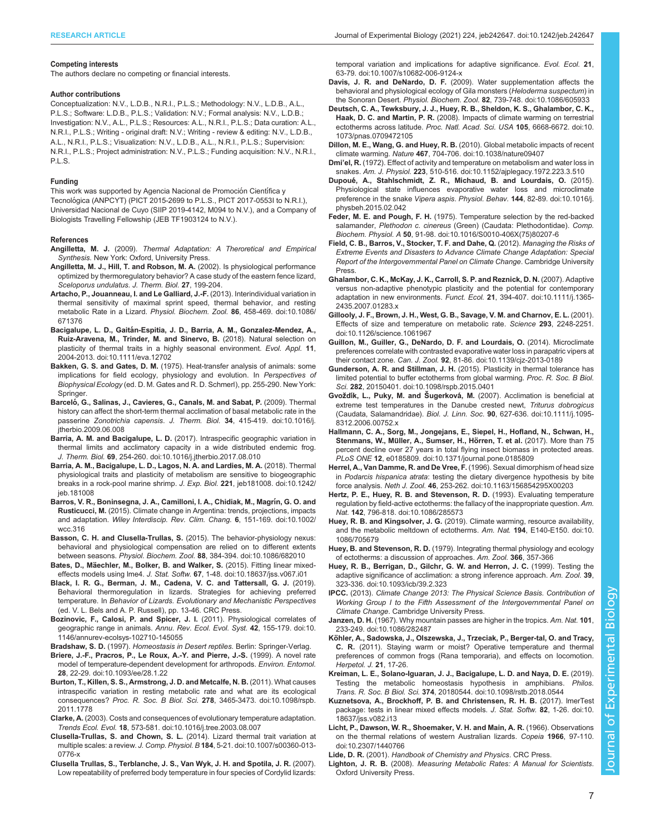#### <span id="page-6-0"></span>Competing interests

The authors declare no competing or financial interests.

#### Author contributions

Conceptualization: N.V., L.D.B., N.R.I., P.L.S.; Methodology: N.V., L.D.B., A.L., P.L.S.; Software: L.D.B., P.L.S.; Validation: N.V.; Formal analysis: N.V., L.D.B.; Investigation: N.V., A.L., P.L.S.; Resources: A.L., N.R.I., P.L.S.; Data curation: A.L., N.R.I., P.L.S.; Writing - original draft: N.V.; Writing - review & editing: N.V., L.D.B., A.L., N.R.I., P.L.S.; Visualization: N.V., L.D.B., A.L., N.R.I., P.L.S.; Supervision: N.R.I., P.L.S.; Project administration: N.V., P.L.S.; Funding acquisition: N.V., N.R.I., P.L.S.

#### Funding

This work was supported by Agencia Nacional de Promoción Científica y Tecnológica (ANPCYT) (PICT 2015-2699 to P.L.S., PICT 2017-0553I to N.R.I.), Universidad Nacional de Cuyo (SIIP 2019-4142, M094 to N.V.), and a Company of Biologists Travelling Fellowship (JEB TF1903124 to N.V.).

#### References

- Angilletta, M. J. (2009). Thermal Adaptation: A Theroretical and Empirical Synthesis. New York: Oxford, University Press.
- Angilletta, M. J., Hill, T. and Robson, M. A. (2002). Is physiological performance optimized by thermoregulatory behavior? A case study of the eastern fence lizard, Sceloporus undulatus. J. Therm. Biol. 27, 199-204.
- [Artacho, P., Jouanneau, I. and Le Galliard, J.-F.](https://doi.org/10.1086/671376) (2013). Interindividual variation in [thermal sensitivity of maximal sprint speed, thermal behavior, and resting](https://doi.org/10.1086/671376) [metabolic Rate in a Lizard.](https://doi.org/10.1086/671376) Physiol. Biochem. Zool. 86, 458-469. doi:10.1086/ [671376](https://doi.org/10.1086/671376)
- Bacigalupe, L. D., Gaitá[n-Espitia, J. D., Barria, A. M., Gonzalez-Mendez, A.,](https://doi.org/10.1111/eva.12702) [Ruiz-Aravena, M., Trinder, M. and Sinervo, B.](https://doi.org/10.1111/eva.12702) (2018). Natural selection on [plasticity of thermal traits in a highly seasonal environment.](https://doi.org/10.1111/eva.12702) Evol. Appl. 11, [2004-2013. doi:10.1111/eva.12702](https://doi.org/10.1111/eva.12702)
- Bakken, G. S. and Gates, D. M. (1975). Heat-transfer analysis of animals: some implications for field ecology, physiology and evolution. In Perspectives of Biophysical Ecology (ed. D. M. Gates and R. D. Schmerl), pp. 255-290. New York: **Springer**
- Barceló[, G., Salinas, J., Cavieres, G., Canals, M. and Sabat, P.](https://doi.org/10.1016/j.jtherbio.2009.06.008) (2009). Thermal [history can affect the short-term thermal acclimation of basal metabolic rate in the](https://doi.org/10.1016/j.jtherbio.2009.06.008) passerine Zonotrichia capensis. J. Therm. Biol. 34[, 415-419. doi:10.1016/j.](https://doi.org/10.1016/j.jtherbio.2009.06.008) itherbio.2009.06.008
- Barria, A. M. and Bacigalupe, L. D. [\(2017\). Intraspecific geographic variation in](https://doi.org/10.1016/j.jtherbio.2017.08.010) [thermal limits and acclimatory capacity in a wide distributed endemic frog.](https://doi.org/10.1016/j.jtherbio.2017.08.010) J. Therm. Biol. 69[, 254-260. doi:10.1016/j.jtherbio.2017.08.010](https://doi.org/10.1016/j.jtherbio.2017.08.010)
- [Barria, A. M., Bacigalupe, L. D., Lagos, N. A. and Lardies, M. A.](https://doi.org/10.1242/jeb.181008) (2018). Thermal [physiological traits and plasticity of metabolism are sensitive to biogeographic](https://doi.org/10.1242/jeb.181008) [breaks in a rock-pool marine shrimp.](https://doi.org/10.1242/jeb.181008) J. Exp. Biol. 221, jeb181008. doi:10.1242/ [jeb.181008](https://doi.org/10.1242/jeb.181008)
- [Barros, V. R., Boninsegna, J. A., Camilloni, I. A., Chidiak, M., Magr](https://doi.org/10.1002/wcc.316)ín, G. O. and Rusticucci, M. [\(2015\). Climate change in Argentina: trends, projections, impacts](https://doi.org/10.1002/wcc.316) and adaptation. [Wiley Interdiscip. Rev. Clim. Chang.](https://doi.org/10.1002/wcc.316) 6, 151-169. doi:10.1002/ [wcc.316](https://doi.org/10.1002/wcc.316)
- [Basson, C. H. and Clusella-Trullas, S.](https://doi.org/10.1086/682010) (2015). The behavior-physiology nexus: [behavioral and physiological compensation are relied on to different extents](https://doi.org/10.1086/682010) between seasons. Physiol. Biochem. Zool. 88[, 384-394. doi:10.1086/682010](https://doi.org/10.1086/682010)
- Bates, D., Mä[echler, M., Bolker, B. and Walker, S.](https://doi.org/10.18637/jss.v067.i01) (2015). Fitting linear mixedeffects models using lme4. J. Stat. Softw. 67[, 1-48. doi:10.18637/jss.v067.i01](https://doi.org/10.18637/jss.v067.i01)
- Black, I. R. G., Berman, J. M., Cadena, V. C. and Tattersall, G. J. (2019). Behavioral thermoregulation in lizards. Strategies for achieving preferred temperature. In Behavior of Lizards. Evolutionary and Mechanistic Perspectives (ed. V. L. Bels and A. P. Russell), pp. 13-46. CRC Press.
- [Bozinovic, F., Calosi, P. and Spicer, J. I.](https://doi.org/10.1146/annurev-ecolsys-102710-145055) (2011). Physiological correlates of [geographic range in animals.](https://doi.org/10.1146/annurev-ecolsys-102710-145055) Annu. Rev. Ecol. Evol. Syst. 42, 155-179. doi:10. [1146/annurev-ecolsys-102710-145055](https://doi.org/10.1146/annurev-ecolsys-102710-145055)
- Bradshaw, S. D. (1997). Homeostasis in Desert reptiles. Berlin: Springer-Verlag.
- [Briere, J.-F., Pracros, P., Le Roux, A.-Y. and Pierre, J.-S.](https://doi.org/10.1093/ee/28.1.22) (1999). A novel rate [model of temperature-dependent development for arthropods.](https://doi.org/10.1093/ee/28.1.22) Environ. Entomol. 28[, 22-29. doi:10.1093/ee/28.1.22](https://doi.org/10.1093/ee/28.1.22)
- [Burton, T., Killen, S. S., Armstrong, J. D. and Metcalfe, N. B.](https://doi.org/10.1098/rspb.2011.1778) (2011). What causes [intraspecific variation in resting metabolic rate and what are its ecological](https://doi.org/10.1098/rspb.2011.1778) consequences? Proc. R. Soc. B Biol. Sci. 278[, 3465-3473. doi:10.1098/rspb.](https://doi.org/10.1098/rspb.2011.1778) [2011.1778](https://doi.org/10.1098/rspb.2011.1778)
- Clarke, A. [\(2003\). Costs and consequences of evolutionary temperature adaptation.](https://doi.org/10.1016/j.tree.2003.08.007) Trends Ecol. Evol. 18[, 573-581. doi:10.1016/j.tree.2003.08.007](https://doi.org/10.1016/j.tree.2003.08.007)
- [Clusella-Trullas, S. and Chown, S. L.](https://doi.org/10.1007/s00360-013-0776-x) (2014). Lizard thermal trait variation at multiple scales: a review. J. Comp. Physiol. B 184[, 5-21. doi:10.1007/s00360-013-](https://doi.org/10.1007/s00360-013-0776-x) [0776-x](https://doi.org/10.1007/s00360-013-0776-x)
- [Clusella Trullas, S., Terblanche, J. S., Van Wyk, J. H. and Spotila, J. R.](https://doi.org/10.1007/s10682-006-9124-x) (2007). [Low repeatability of preferred body temperature in four species of Cordylid lizards:](https://doi.org/10.1007/s10682-006-9124-x)

[temporal variation and implications for adaptive significance.](https://doi.org/10.1007/s10682-006-9124-x) Evol. Ecol. 21, [63-79. doi:10.1007/s10682-006-9124-x](https://doi.org/10.1007/s10682-006-9124-x)

- Davis, J. R. and DeNardo, D. F. [\(2009\). Water supplementation affects the](https://doi.org/10.1086/605933) [behavioral and physiological ecology of Gila monsters \(](https://doi.org/10.1086/605933)Heloderma suspectum) in the Sonoran Desert. Physiol. Biochem. Zool. 82[, 739-748. doi:10.1086/605933](https://doi.org/10.1086/605933)
- [Deutsch, C. A., Tewksbury, J. J., Huey, R. B., Sheldon, K. S., Ghalambor, C. K.,](https://doi.org/10.1073/pnas.0709472105) Haak, D. C. and Martin, P. R. [\(2008\). Impacts of climate warming on terrestrial](https://doi.org/10.1073/pnas.0709472105) [ectotherms across latitude.](https://doi.org/10.1073/pnas.0709472105) Proc. Natl. Acad. Sci. USA 105, 6668-6672. doi:10. [1073/pnas.0709472105](https://doi.org/10.1073/pnas.0709472105)
- Dillon, M. E., Wang, G. and Huey, R. B. [\(2010\). Global metabolic impacts of recent](https://doi.org/10.1038/nature09407) climate warming. Nature 467[, 704-706. doi:10.1038/nature09407](https://doi.org/10.1038/nature09407)
- Dmi'el, R. [\(1972\). Effect of activity and temperature on metabolism and water loss in](https://doi.org/10.1152/ajplegacy.1972.223.3.510) snakes. Am. J. Physiol. 223[, 510-516. doi:10.1152/ajplegacy.1972.223.3.510](https://doi.org/10.1152/ajplegacy.1972.223.3.510)
- Dupoué[, A., Stahlschmidt, Z. R., Michaud, B. and Lourdais, O.](https://doi.org/10.1016/j.physbeh.2015.02.042) (2015). [Physiological state influences evaporative water loss and microclimate](https://doi.org/10.1016/j.physbeh.2015.02.042) [preference in the snake](https://doi.org/10.1016/j.physbeh.2015.02.042) Vipera aspis. Physiol. Behav. 144, 82-89. doi:10.1016/j. [physbeh.2015.02.042](https://doi.org/10.1016/j.physbeh.2015.02.042)
- Feder, M. E. and Pough, F. H. [\(1975\). Temperature selection by the red-backed](https://doi.org/10.1016/S0010-406X(75)80207-6) salamander, Plethodon c. cinereus [\(Green\) \(Caudata: Plethodontidae\).](https://doi.org/10.1016/S0010-406X(75)80207-6) Comp. Biochem. Physiol. A 50[, 91-98. doi:10.1016/S0010-406X\(75\)80207-6](https://doi.org/10.1016/S0010-406X(75)80207-6)
- Field, C. B., Barros, V., Stocker, T. F. and Dahe, Q. (2012). Managing the Risks of Extreme Events and Disasters to Advance Climate Change Adaptation: Special Report of the Intergovernmental Panel on Climate Change. Cambridge University Press.
- [Ghalambor, C. K., McKay, J. K., Carroll, S. P. and Reznick, D. N.](https://doi.org/10.1111/j.1365-2435.2007.01283.x) (2007). Adaptive [versus non-adaptive phenotypic plasticity and the potential for contemporary](https://doi.org/10.1111/j.1365-2435.2007.01283.x) [adaptation in new environments.](https://doi.org/10.1111/j.1365-2435.2007.01283.x) Funct. Ecol. 21, 394-407. doi:10.1111/j.1365- [2435.2007.01283.x](https://doi.org/10.1111/j.1365-2435.2007.01283.x)
- [Gillooly, J. F., Brown, J. H., West, G. B., Savage, V. M. and Charnov, E. L.](https://doi.org/10.1126/science.1061967) (2001). [Effects of size and temperature on metabolic rate.](https://doi.org/10.1126/science.1061967) Science 293, 2248-2251. [doi:10.1126/science.1061967](https://doi.org/10.1126/science.1061967)
- [Guillon, M., Guiller, G., DeNardo, D. F. and Lourdais, O.](https://doi.org/10.1139/cjz-2013-0189) (2014). Microclimate [preferences correlate with contrasted evaporative water loss in parapatric vipers at](https://doi.org/10.1139/cjz-2013-0189) their contact zone. Can. J. Zool. 92[, 81-86. doi:10.1139/cjz-2013-0189](https://doi.org/10.1139/cjz-2013-0189)
- Gunderson, A. R. and Stillman, J. H. [\(2015\). Plasticity in thermal tolerance has](https://doi.org/10.1098/rspb.2015.0401) [limited potential to buffer ectotherms from global warming.](https://doi.org/10.1098/rspb.2015.0401) Proc. R. Soc. B Biol. Sci. 282[, 20150401. doi:10.1098/rspb.2015.0401](https://doi.org/10.1098/rspb.2015.0401)
- Gvoždík, L., Puky, M. and Sugerková, M. [\(2007\). Acclimation is beneficial at](https://doi.org/10.1111/j.1095-8312.2006.00752.x) [extreme test temperatures in the Danube crested newt,](https://doi.org/10.1111/j.1095-8312.2006.00752.x) Triturus dobrogicus (Caudata, Salamandridae). Biol. J. Linn. Soc. 90[, 627-636. doi:10.1111/j.1095-](https://doi.org/10.1111/j.1095-8312.2006.00752.x) [8312.2006.00752.x](https://doi.org/10.1111/j.1095-8312.2006.00752.x)
- [Hallmann, C. A., Sorg, M., Jongejans, E., Siepel, H., Hofland, N., Schwan, H.,](https://doi.org/10.1371/journal.pone.0185809) Stenmans, W., Müller, A., Sumser, H., Hörren, T. et al. (2017). More than 75 [percent decline over 27 years in total flying insect biomass in protected areas.](https://doi.org/10.1371/journal.pone.0185809) PLoS ONE 12[, e0185809. doi:10.1371/journal.pone.0185809](https://doi.org/10.1371/journal.pone.0185809)
- [Herrel, A., Van Damme, R. and De Vree, F.](https://doi.org/10.1163/156854295X00203) (1996). Sexual dimorphism of head size in Podarcis hispanica atrata[: testing the dietary divergence hypothesis by bite](https://doi.org/10.1163/156854295X00203) force analysis. Neth J. Zool. 46[, 253-262. doi:10.1163/156854295X00203](https://doi.org/10.1163/156854295X00203)
- [Hertz, P. E., Huey, R. B. and Stevenson, R. D.](https://doi.org/10.1086/285573) (1993). Evaluating temperature [regulation by field-active ectotherms: the fallacy of the inappropriate question.](https://doi.org/10.1086/285573) Am. Nat. 142[, 796-818. doi:10.1086/285573](https://doi.org/10.1086/285573)
- Huey, R. B. and Kingsolver, J. G. [\(2019\). Climate warming, resource availability,](https://doi.org/10.1086/705679) [and the metabolic meltdown of ectotherms.](https://doi.org/10.1086/705679) Am. Nat. 194, E140-E150. doi:10. [1086/705679](https://doi.org/10.1086/705679)
- Huey, B. and Stevenson, R. D. (1979). Integrating thermal physiology and ecology of ectotherms: a discussion of approaches. Am. Zool. 366, 357-366
- [Huey, R. B., Berrigan, D., Gilchr, G. W. and Herron, J. C.](https://doi.org/10.1093/icb/39.2.323) (1999). Testing the [adaptive significance of acclimation: a strong inference approach.](https://doi.org/10.1093/icb/39.2.323) Am. Zool. 39, [323-336. doi:10.1093/icb/39.2.323](https://doi.org/10.1093/icb/39.2.323)
- IPCC. (2013). Climate Change 2013: The Physical Science Basis. Contribution of Working Group I to the Fifth Assessment of the Intergovernmental Panel on Climate Change. Cambridge University Press.
- Janzen, D. H. [\(1967\). Why mountain passes are higher in the tropics.](https://doi.org/10.1086/282487) Am. Nat. 101, [233-249. doi:10.1086/282487](https://doi.org/10.1086/282487)
- Köhler, A., Sadowska, J., Olszewska, J., Trzeciak, P., Berger-tal, O. and Tracy, C. R. (2011). Staying warm or moist? Operative temperature and thermal preferences of common frogs (Rana temporaria), and effects on locomotion. Herpetol. J. 21, 17-26.
- [Kreiman, L. E., Solano-Iguaran, J. J., Bacigalupe, L. D. and Naya, D. E.](https://doi.org/10.1098/rstb.2018.0544) (2019). [Testing the metabolic homeostasis hypothesis in amphibians.](https://doi.org/10.1098/rstb.2018.0544) Philos. Trans. R. Soc. B Biol. Sci. 374[, 20180544. doi:10.1098/rstb.2018.0544](https://doi.org/10.1098/rstb.2018.0544)
- [Kuznetsova, A., Brockhoff, P. B. and Christensen, R. H. B.](https://doi.org/10.18637/jss.v082.i13) (2017). lmerTest [package: tests in linear mixed effects models.](https://doi.org/10.18637/jss.v082.i13) J. Stat. Softw. 82, 1-26. doi:10. [18637/jss.v082.i13](https://doi.org/10.18637/jss.v082.i13)
- [Licht, P., Dawson, W. R., Shoemaker, V. H. and Main, A. R.](https://doi.org/10.2307/1440766) (1966). Observations [on the thermal relations of western Australian lizards.](https://doi.org/10.2307/1440766) Copeia 1966, 97-110. [doi:10.2307/1440766](https://doi.org/10.2307/1440766)

Lide, D. R. (2001). Handbook of Chemistry and Physics. CRC Press.

Lighton, J. R. B. (2008). Measuring Metabolic Rates: A Manual for Scientists. Oxford University Press.